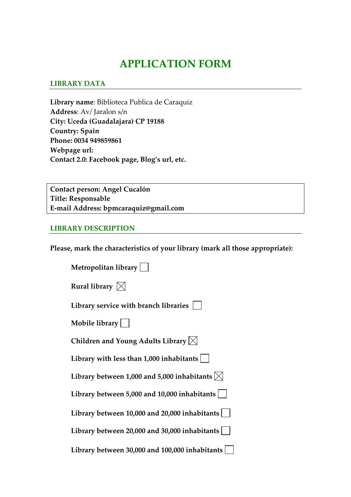# **APPLICATION FORM**

### **LIBRARY DATA**

**Library name**: Biblioteca Publica de Caraquiz **Address**: Av/ Jaralon s/n **City: Uceda (Guadalajara) CP 19188 Country: Spain Phone: 0034 949859861 Webpage url: Contact 2.0: Facebook page, Blog's url, etc.** 

**Contact person: Angel Cucalón Title: Responsable E‐mail Address: bpmcaraquiz@gmail.com**

#### **LIBRARY DESCRIPTION**

**Please, mark the characteristics of your library (mark all those appropriate):**

| Metropolitan library                                   |
|--------------------------------------------------------|
| Rural library $\boxtimes$                              |
| Library service with branch libraries                  |
| Mobile library $\vert$ $\vert$                         |
| Children and Young Adults Library $\boxtimes$          |
| Library with less than $1,000$ inhabitants $ $         |
| Library between 1,000 and 5,000 inhabitants $ \times $ |
| Library between 5,000 and 10,000 inhabitants           |
| Library between $10,000$ and $20,000$ inhabitants      |
| Library between 20,000 and 30,000 inhabitants          |
| Library between 30,000 and 100,000 inhabitants         |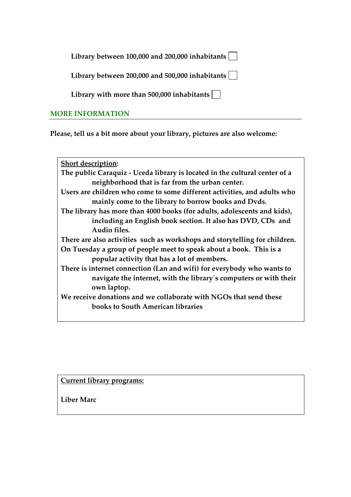**Library between 100,000 and 200,000 inhabitants**

**Library between 200,000 and 500,000 inhabitants**

**Library with more than 500,000 inhabitants**

## **MORE INFORMATION**

**Please, tell us a bit more about your library, pictures are also welcome:** 

**Short description: The public Caraquiz ‐ Uceda library is located in the cultural center of a neighborhood that is far from the urban center. Users are children who come to some different activities, and adults who mainly come to the library to borrow books and Dvds. The library has more than 4000 books (for adults, adolescents and kids), including an English book section. It also has DVD, CDs and Audio files. There are also activities such as workshops and storytelling for children. On Tuesday a group of people meet to speak about a book. This is a popular activity that has a lot of members. There is internet connection (Lan and wifi) for everybody who wants to navigate the internet, with the library´s computers or with their own laptop. We receive donations and we collaborate with NGOs that send these books to South American libraries**

**Current library programs:** 

**Liber Marc**